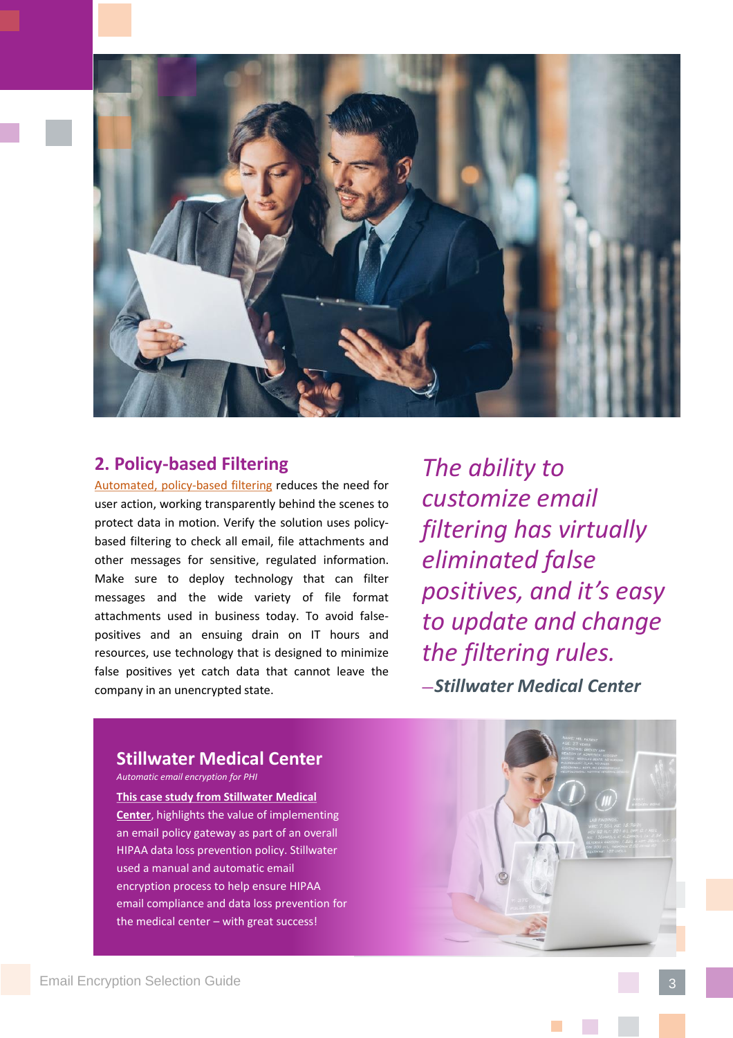

## **2. Policy-based Filtering**

Automated, [policy-based](https://www.datamotion.com/securemail-gateway/) filtering reduces the need for user action, working transparently behind the scenes to protect data in motion. Verify the solution uses policybased filtering to check all email, file attachments and other messages for sensitive, regulated information. Make sure to deploy technology that can filter messages and the wide variety of file format attachments used in business today. To avoid falsepositives and an ensuing drain on IT hours and resources, use technology that is designed to minimize false positives yet catch data that cannot leave the company in an unencrypted state.

*The ability to customize email filtering has virtually eliminated false positives, and it's easy to update and change the filtering rules.* —*Stillwater Medical Center*

# **Stillwater Medical Center**

*Automatic email encryption for PHI*

**[This case study from Stillwater Medical](https://www.datamotion.com/wp-content/uploads/2019/11/DM_SuccesStory_Stillwater_Medical-final.pdf) Center**, highlights the value of implementing an email policy gateway as part of an overall HIPAA data loss prevention policy. Stillwater used a manual and automatic email encryption process to help ensure HIPAA email compliance and data loss prevention for the medical center – with great success!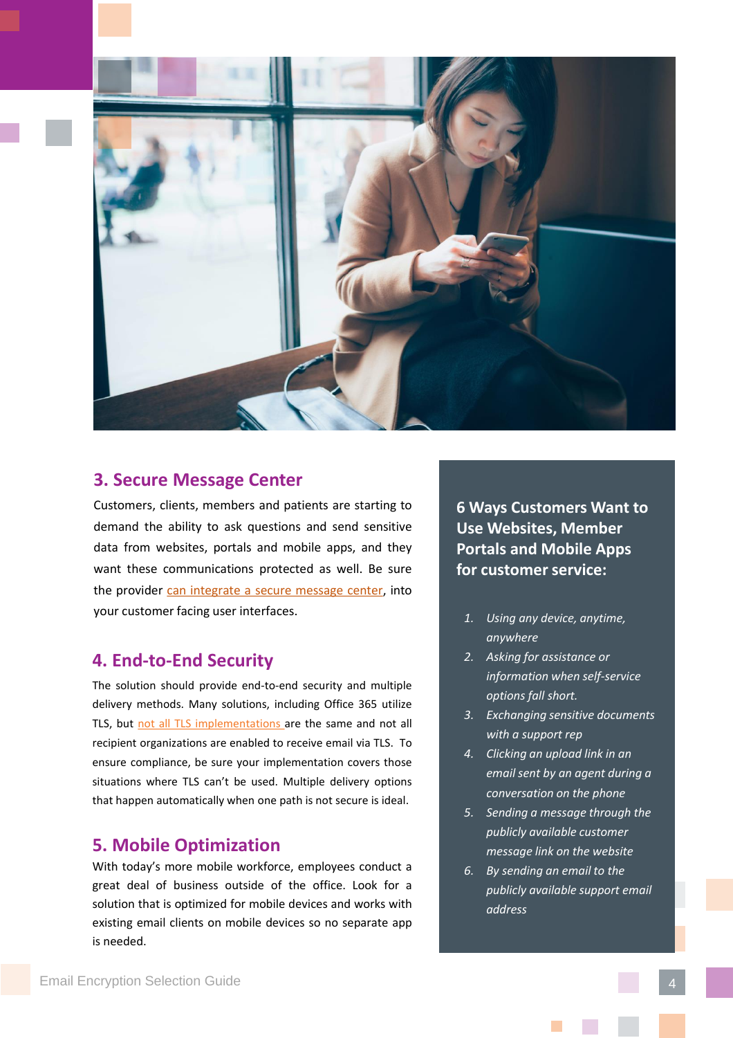

#### **3. Secure Message Center**

Customers, clients, members and patients are starting to demand the ability to ask questions and send sensitive data from websites, portals and mobile apps, and they want these communications protected as well. Be sure the provider can [integrate](https://www.datamotion.com/secure-message-center/) a secure message center, into your customer facing user interfaces.

#### **4. End-to-End Security**

The solution should provide end-to-end security and multiple delivery methods. Many solutions, including Office 365 utilize TLS, but not all TLS [implementations](https://www.datamotion.com/is_tls_email_encryption_good_enough/) are the same and not all recipient organizations are enabled to receive email via TLS. To ensure compliance, be sure your implementation covers those situations where TLS can't be used. Multiple delivery options that happen automatically when one path is not secure is ideal.

## **5. Mobile Optimization**

With today's more mobile workforce, employees conduct a great deal of business outside of the office. Look for a solution that is optimized for mobile devices and works with existing email clients on mobile devices so no separate app is needed.

**6 Ways Customers Want to Use Websites, Member Portals and Mobile Apps for customer service:**

- *1. Using any device, anytime, anywhere*
- *2. Asking for assistance or information when self-service options fall short.*
- *3. Exchanging sensitive documents with a support rep*
- *4. Clicking an upload link in an email sent by an agent during a conversation on the phone*
- *5. Sending a message through the publicly available customer message link on the website*
- *6. By sending an email to the publicly available support email address*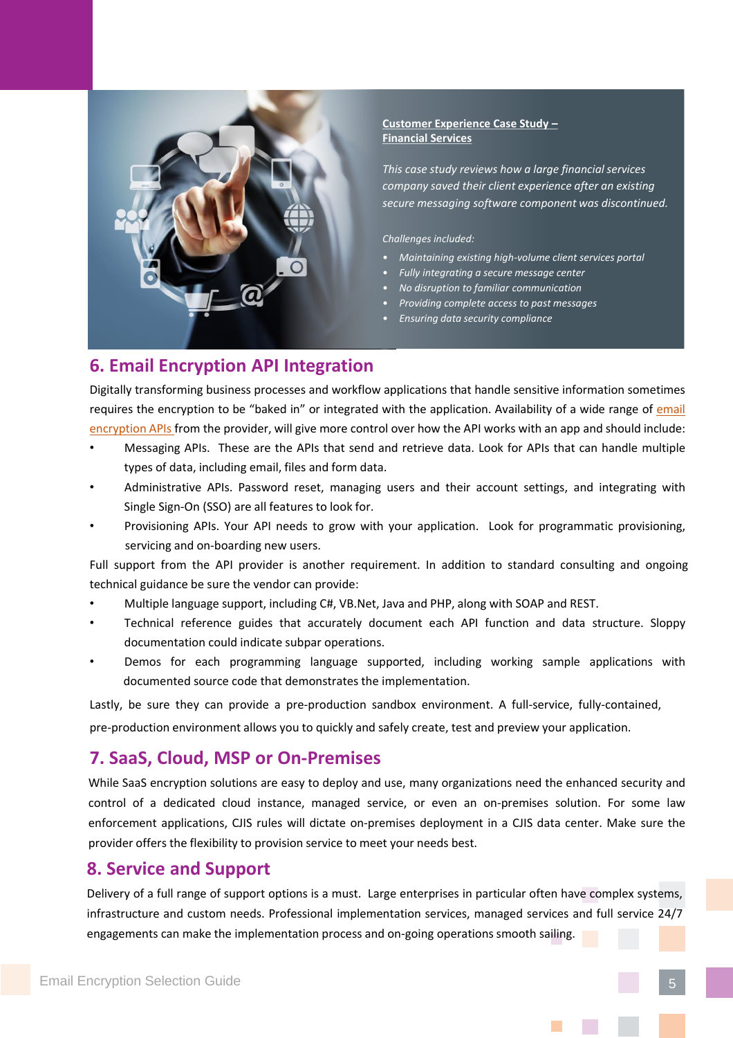

#### **[Customer Experience Case Study](https://info.datamotion.com/smc-0) – Financial Services**

*This case study reviews how a large financial services company saved their client experience after an existing secure messaging software component was discontinued.* 

*Challenges included:*

- *Maintaining existing high-volume client services portal*
- *Fully integrating a secure message center*
- *No disruption to familiar communication*
- *Providing complete access to past messages*
- *Ensuring data security compliance*

# **6. Email Encryption API Integration**

Digitally transforming business processes and workflow applications that handle sensitive information sometimes requires the encryption to be "baked in" or integrated with the [application.](https://www.datamotion.com/secure-message-center-api/) Availability of a wide range of email encryption APIs from the provider, will give more control over how the API works with an app and should include:

- Messaging APIs. These are the APIs that send and retrieve data. Look for APIs that can handle multiple types of data, including email, files and form data.
- Administrative APIs. Password reset, managing users and their account settings, and integrating with Single Sign-On (SSO) are all features to look for.
- Provisioning APIs. Your API needs to grow with your application. Look for programmatic provisioning, servicing and on-boarding new users.

Full support from the API provider is another requirement. In addition to standard consulting and ongoing technical guidance be sure the vendor can provide:

- Multiple language support, including C#, VB.Net, Java and PHP, along with SOAP and REST.
- Technical reference guides that accurately document each API function and data structure. Sloppy documentation could indicate subpar operations.
- Demos for each programming language supported, including working sample applications with documented source code that demonstrates the implementation.

Lastly, be sure they can provide a pre-production sandbox environment. A full-service, fully-contained,

pre-production environment allows you to quickly and safely create, test and preview your application.

## **7. SaaS, Cloud, MSP or On-Premises**

While SaaS encryption solutions are easy to deploy and use, many organizations need the enhanced security and control of a dedicated cloud instance, managed service, or even an on-premises solution. For some law enforcement applications, CJIS rules will dictate on-premises deployment in a CJIS data center. Make sure the provider offers the flexibility to provision service to meet your needs best.

## **8. Service and Support**

Delivery of a full range of support options is a must. Large enterprises in particular often have complex systems, infrastructure and custom needs. Professional implementation services, managed services and full service 24/7 engagements can make the implementation process and on-going operations smooth sailing.